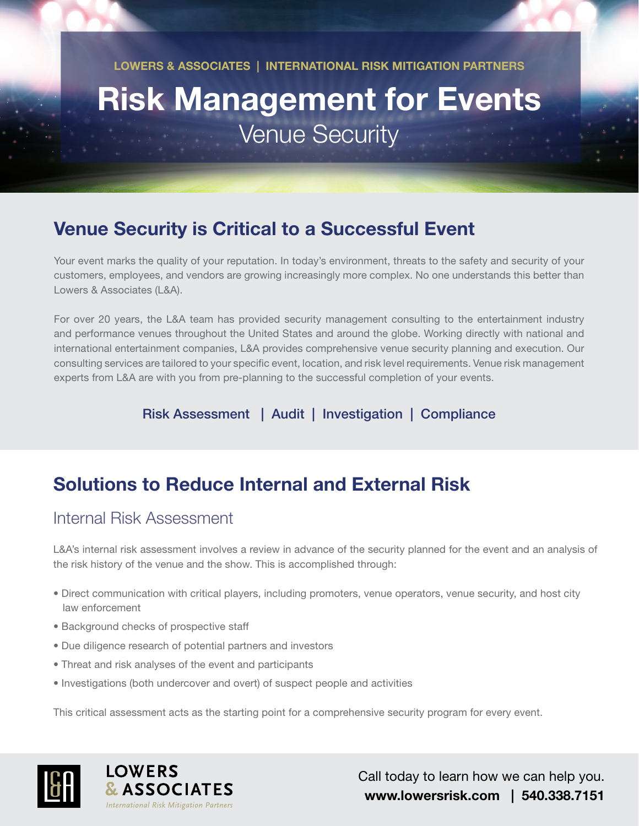**LOWERS & ASSOCIATES | INTERNATIONAL RISK MITIGATION PARTNERS**

# **Risk Management for Events** Venue Security

# **Venue Security is Critical to a Successful Event**

Your event marks the quality of your reputation. In today's environment, threats to the safety and security of your customers, employees, and vendors are growing increasingly more complex. No one understands this better than Lowers & Associates (L&A).

For over 20 years, the L&A team has provided security management consulting to the entertainment industry and performance venues throughout the United States and around the globe. Working directly with national and international entertainment companies, L&A provides comprehensive venue security planning and execution. Our consulting services are tailored to your specific event, location, and risk level requirements. Venue risk management experts from L&A are with you from pre-planning to the successful completion of your events.

Risk Assessment | Audit | Investigation | Compliance

# **Solutions to Reduce Internal and External Risk**

#### Internal Risk Assessment

L&A's internal risk assessment involves a review in advance of the security planned for the event and an analysis of the risk history of the venue and the show. This is accomplished through:

- Direct communication with critical players, including promoters, venue operators, venue security, and host city law enforcement
- Background checks of prospective staff
- Due diligence research of potential partners and investors
- Threat and risk analyses of the event and participants
- Investigations (both undercover and overt) of suspect people and activities

This critical assessment acts as the starting point for a comprehensive security program for every event.





Call today to learn how we can help you. **www.lowersrisk.com | 540.338.7151**